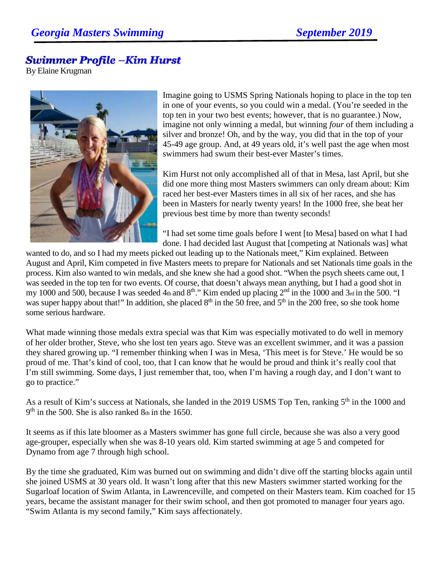## **Swimmer Profile - Kim Hurst**

By Elaine Krugman



Imagine going to USMS Spring Nationals hoping to place in the top ten in one of your events, so you could win a medal. (You're seeded in the top ten in your two best events; however, that is no guarantee.) Now, imagine not only winning a medal, but winning *four* of them including a silver and bronze! Oh, and by the way, you did that in the top of your 45-49 age group. And, at 49 years old, it's well past the age when most swimmers had swum their best-ever Master's times.

Kim Hurst not only accomplished all of that in Mesa, last April, but she did one more thing most Masters swimmers can only dream about: Kim raced her best-ever Masters times in all six of her races, and she has been in Masters for nearly twenty years! In the 1000 free, she beat her previous best time by more than twenty seconds!

"I had set some time goals before I went [to Mesa] based on what I had done. I had decided last August that [competing at Nationals was] what

wanted to do, and so I had my meets picked out leading up to the Nationals meet," Kim explained. Between August and April, Kim competed in five Masters meets to prepare for Nationals and set Nationals time goals in the process. Kim also wanted to win medals, and she knew she had a good shot. "When the psych sheets came out, I was seeded in the top ten for two events. Of course, that doesn't always mean anything, but I had a good shot in my 1000 and 500, because I was seeded  $4<sub>th</sub>$  and  $8<sup>th</sup>$ ." Kim ended up placing  $2<sup>nd</sup>$  in the 1000 and  $3<sub>rd</sub>$  in the 500. "I was super happy about that!" In addition, she placed 8<sup>th</sup> in the 50 free, and 5<sup>th</sup> in the 200 free, so she took home some serious hardware.

What made winning those medals extra special was that Kim was especially motivated to do well in memory of her older brother, Steve, who she lost ten years ago. Steve was an excellent swimmer, and it was a passion they shared growing up. "I remember thinking when I was in Mesa, 'This meet is for Steve.' He would be so proud of me. That's kind of cool, too, that I can know that he would be proud and think it's really cool that I'm still swimming. Some days, I just remember that, too, when I'm having a rough day, and I don't want to go to practice."

As a result of Kim's success at Nationals, she landed in the 2019 USMS Top Ten, ranking 5<sup>th</sup> in the 1000 and 9<sup>th</sup> in the 500. She is also ranked 8th in the 1650.

It seems as if this late bloomer as a Masters swimmer has gone full circle, because she was also a very good age-grouper, especially when she was 8-10 years old. Kim started swimming at age 5 and competed for Dynamo from age 7 through high school.

By the time she graduated, Kim was burned out on swimming and didn't dive off the starting blocks again until she joined USMS at 30 years old. It wasn't long after that this new Masters swimmer started working for the Sugarloaf location of Swim Atlanta, in Lawrenceville, and competed on their Masters team. Kim coached for 15 years, became the assistant manager for their swim school, and then got promoted to manager four years ago. "Swim Atlanta is my second family," Kim says affectionately.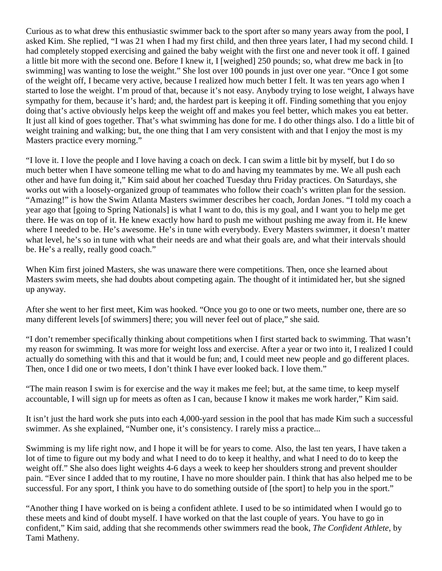Curious as to what drew this enthusiastic swimmer back to the sport after so many years away from the pool, I asked Kim. She replied, "I was 21 when I had my first child, and then three years later, I had my second child. I had completely stopped exercising and gained the baby weight with the first one and never took it off. I gained a little bit more with the second one. Before I knew it, I [weighed] 250 pounds; so, what drew me back in [to swimming] was wanting to lose the weight." She lost over 100 pounds in just over one year. "Once I got some of the weight off, I became very active, because I realized how much better I felt. It was ten years ago when I started to lose the weight. I'm proud of that, because it's not easy. Anybody trying to lose weight, I always have sympathy for them, because it's hard; and, the hardest part is keeping it off. Finding something that you enjoy doing that's active obviously helps keep the weight off and makes you feel better, which makes you eat better. It just all kind of goes together. That's what swimming has done for me. I do other things also. I do a little bit of weight training and walking; but, the one thing that I am very consistent with and that I enjoy the most is my Masters practice every morning."

"I love it. I love the people and I love having a coach on deck. I can swim a little bit by myself, but I do so much better when I have someone telling me what to do and having my teammates by me. We all push each other and have fun doing it," Kim said about her coached Tuesday thru Friday practices. On Saturdays, she works out with a loosely-organized group of teammates who follow their coach's written plan for the session. "Amazing!" is how the Swim Atlanta Masters swimmer describes her coach, Jordan Jones. "I told my coach a year ago that [going to Spring Nationals] is what I want to do, this is my goal, and I want you to help me get there. He was on top of it. He knew exactly how hard to push me without pushing me away from it. He knew where I needed to be. He's awesome. He's in tune with everybody. Every Masters swimmer, it doesn't matter what level, he's so in tune with what their needs are and what their goals are, and what their intervals should be. He's a really, really good coach."

When Kim first joined Masters, she was unaware there were competitions. Then, once she learned about Masters swim meets, she had doubts about competing again. The thought of it intimidated her, but she signed up anyway.

After she went to her first meet, Kim was hooked. "Once you go to one or two meets, number one, there are so many different levels [of swimmers] there; you will never feel out of place," she said.

"I don't remember specifically thinking about competitions when I first started back to swimming. That wasn't my reason for swimming. It was more for weight loss and exercise. After a year or two into it, I realized I could actually do something with this and that it would be fun; and, I could meet new people and go different places. Then, once I did one or two meets, I don't think I have ever looked back. I love them."

"The main reason I swim is for exercise and the way it makes me feel; but, at the same time, to keep myself accountable, I will sign up for meets as often as I can, because I know it makes me work harder," Kim said.

It isn't just the hard work she puts into each 4,000-yard session in the pool that has made Kim such a successful swimmer. As she explained, "Number one, it's consistency. I rarely miss a practice...

Swimming is my life right now, and I hope it will be for years to come. Also, the last ten years, I have taken a lot of time to figure out my body and what I need to do to keep it healthy, and what I need to do to keep the weight off." She also does light weights 4-6 days a week to keep her shoulders strong and prevent shoulder pain. "Ever since I added that to my routine, I have no more shoulder pain. I think that has also helped me to be successful. For any sport, I think you have to do something outside of [the sport] to help you in the sport."

"Another thing I have worked on is being a confident athlete. I used to be so intimidated when I would go to these meets and kind of doubt myself. I have worked on that the last couple of years. You have to go in confident," Kim said, adding that she recommends other swimmers read the book, *The Confident Athlete*, by Tami Matheny.